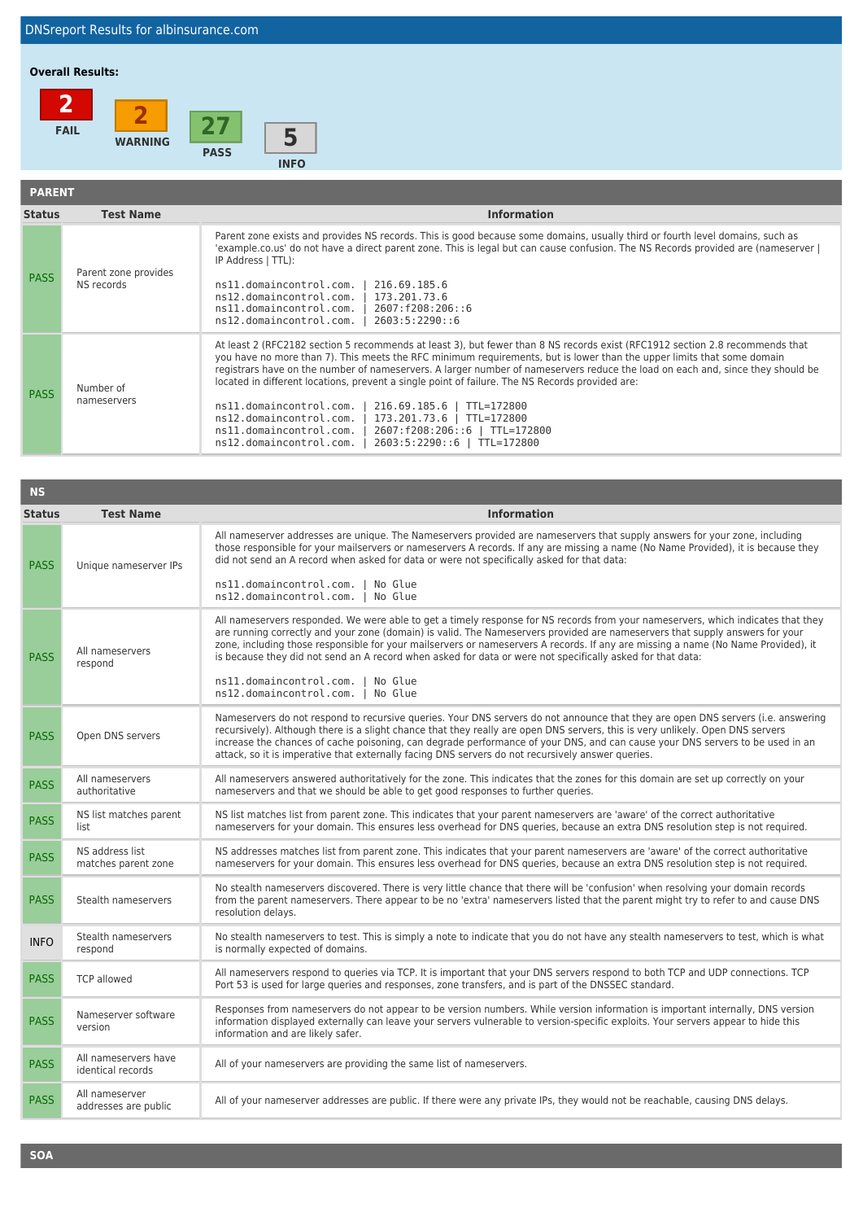## **Overall Results:**



| <b>PARENT</b> |                                    |                                                                                                                                                                                                                                                                                                                                                                                                                                                                                                                                                                                                                                                                                                                                   |
|---------------|------------------------------------|-----------------------------------------------------------------------------------------------------------------------------------------------------------------------------------------------------------------------------------------------------------------------------------------------------------------------------------------------------------------------------------------------------------------------------------------------------------------------------------------------------------------------------------------------------------------------------------------------------------------------------------------------------------------------------------------------------------------------------------|
| <b>Status</b> | <b>Test Name</b>                   | <b>Information</b>                                                                                                                                                                                                                                                                                                                                                                                                                                                                                                                                                                                                                                                                                                                |
| <b>PASS</b>   | Parent zone provides<br>NS records | Parent zone exists and provides NS records. This is good because some domains, usually third or fourth level domains, such as<br>'example.co.us' do not have a direct parent zone. This is legal but can cause confusion. The NS Records provided are (nameserver  <br>IP Address   TTL):<br>ns11.domaincontrol.com.<br>216.69.185.6<br>ns12.domaincontrol.com.<br>173.201.73.6<br>ns11.domaincontrol.com.<br>2607: f208: 206: : 6<br>ns12.domaincontrol.com.<br>2603:5:2290:6                                                                                                                                                                                                                                                    |
| <b>PASS</b>   | Number of<br>nameservers           | At least 2 (RFC2182 section 5 recommends at least 3), but fewer than 8 NS records exist (RFC1912 section 2.8 recommends that<br>you have no more than 7). This meets the RFC minimum requirements, but is lower than the upper limits that some domain<br>registrars have on the number of nameservers. A larger number of nameservers reduce the load on each and, since they should be<br>located in different locations, prevent a single point of failure. The NS Records provided are:<br>ns11.domaincontrol.com.<br>216.69.185.6   TTL=172800<br>173.201.73.6   TTL=172800<br>ns12.domaincontrol.com.<br>2607:f208:206::6   TTL=172800<br>ns11.domaincontrol.com.<br>ns12.domaincontrol.com.<br>2603:5:2290::6   TTL=172800 |

| <b>NS</b>     |                                           |                                                                                                                                                                                                                                                                                                                                                                                                                                                                                                                     |
|---------------|-------------------------------------------|---------------------------------------------------------------------------------------------------------------------------------------------------------------------------------------------------------------------------------------------------------------------------------------------------------------------------------------------------------------------------------------------------------------------------------------------------------------------------------------------------------------------|
| <b>Status</b> | <b>Test Name</b>                          | <b>Information</b>                                                                                                                                                                                                                                                                                                                                                                                                                                                                                                  |
| <b>PASS</b>   | Unique nameserver IPs                     | All nameserver addresses are unique. The Nameservers provided are nameservers that supply answers for your zone, including<br>those responsible for your mailservers or nameservers A records. If any are missing a name (No Name Provided), it is because they<br>did not send an A record when asked for data or were not specifically asked for that data:                                                                                                                                                       |
|               |                                           | ns11.domaincontrol.com. I<br>No Glue<br>ns12.domaincontrol.com.<br>No Glue                                                                                                                                                                                                                                                                                                                                                                                                                                          |
| <b>PASS</b>   | All nameservers<br>respond                | All nameservers responded. We were able to get a timely response for NS records from your nameservers, which indicates that they<br>are running correctly and your zone (domain) is valid. The Nameservers provided are nameservers that supply answers for your<br>zone, including those responsible for your mailservers or nameservers A records. If any are missing a name (No Name Provided), it<br>is because they did not send an A record when asked for data or were not specifically asked for that data: |
|               |                                           | ns11.domaincontrol.com. I No Glue<br>ns12.domaincontrol.com.  <br>No Glue                                                                                                                                                                                                                                                                                                                                                                                                                                           |
| <b>PASS</b>   | Open DNS servers                          | Nameservers do not respond to recursive queries. Your DNS servers do not announce that they are open DNS servers (i.e. answering<br>recursively). Although there is a slight chance that they really are open DNS servers, this is very unlikely. Open DNS servers<br>increase the chances of cache poisoning, can degrade performance of your DNS, and can cause your DNS servers to be used in an<br>attack, so it is imperative that externally facing DNS servers do not recursively answer queries.            |
| <b>PASS</b>   | All nameservers<br>authoritative          | All nameservers answered authoritatively for the zone. This indicates that the zones for this domain are set up correctly on your<br>nameservers and that we should be able to get good responses to further queries.                                                                                                                                                                                                                                                                                               |
| <b>PASS</b>   | NS list matches parent<br>list            | NS list matches list from parent zone. This indicates that your parent nameservers are 'aware' of the correct authoritative<br>nameservers for your domain. This ensures less overhead for DNS queries, because an extra DNS resolution step is not required.                                                                                                                                                                                                                                                       |
| <b>PASS</b>   | NS address list<br>matches parent zone    | NS addresses matches list from parent zone. This indicates that your parent nameservers are 'aware' of the correct authoritative<br>nameservers for your domain. This ensures less overhead for DNS queries, because an extra DNS resolution step is not required.                                                                                                                                                                                                                                                  |
| <b>PASS</b>   | Stealth nameservers                       | No stealth nameservers discovered. There is very little chance that there will be 'confusion' when resolving your domain records<br>from the parent nameservers. There appear to be no 'extra' nameservers listed that the parent might try to refer to and cause DNS<br>resolution delays.                                                                                                                                                                                                                         |
| <b>INFO</b>   | Stealth nameservers<br>respond            | No stealth nameservers to test. This is simply a note to indicate that you do not have any stealth nameservers to test, which is what<br>is normally expected of domains.                                                                                                                                                                                                                                                                                                                                           |
| <b>PASS</b>   | <b>TCP allowed</b>                        | All nameservers respond to queries via TCP. It is important that your DNS servers respond to both TCP and UDP connections. TCP<br>Port 53 is used for large queries and responses, zone transfers, and is part of the DNSSEC standard.                                                                                                                                                                                                                                                                              |
| <b>PASS</b>   | Nameserver software<br>version            | Responses from nameservers do not appear to be version numbers. While version information is important internally, DNS version<br>information displayed externally can leave your servers vulnerable to version-specific exploits. Your servers appear to hide this<br>information and are likely safer.                                                                                                                                                                                                            |
| <b>PASS</b>   | All nameservers have<br>identical records | All of your nameservers are providing the same list of nameservers.                                                                                                                                                                                                                                                                                                                                                                                                                                                 |
| <b>PASS</b>   | All nameserver<br>addresses are public    | All of your nameserver addresses are public. If there were any private IPs, they would not be reachable, causing DNS delays.                                                                                                                                                                                                                                                                                                                                                                                        |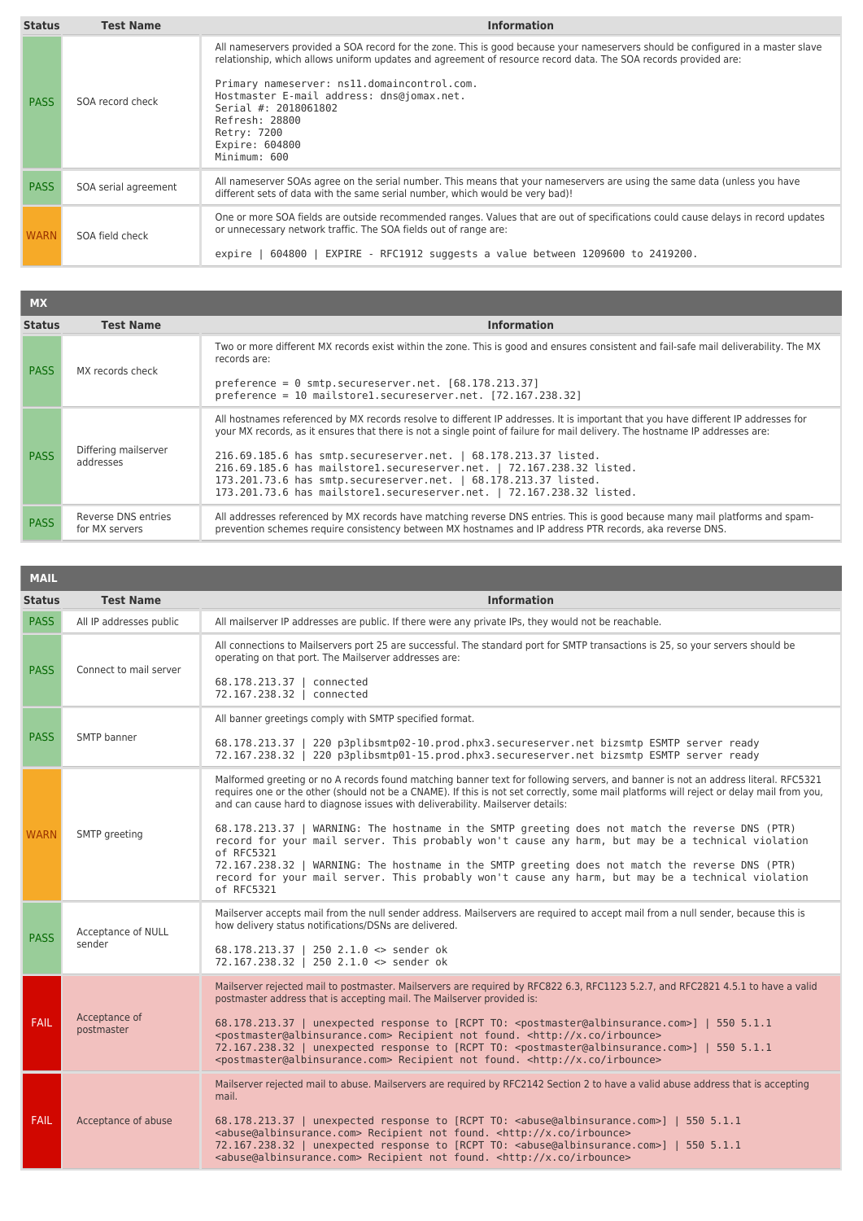| <b>Status</b> | <b>Test Name</b>     | <b>Information</b>                                                                                                                                                                                                                                                                                                                                                                                                                         |
|---------------|----------------------|--------------------------------------------------------------------------------------------------------------------------------------------------------------------------------------------------------------------------------------------------------------------------------------------------------------------------------------------------------------------------------------------------------------------------------------------|
| <b>PASS</b>   | SOA record check     | All nameservers provided a SOA record for the zone. This is good because your nameservers should be configured in a master slave<br>relationship, which allows uniform updates and agreement of resource record data. The SOA records provided are:<br>Primary nameserver: ns11.domaincontrol.com.<br>Hostmaster E-mail address: dns@jomax.net.<br>Serial #: 2018061802<br>Refresh: 28800<br>Retry: 7200<br>Expire: 604800<br>Minimum: 600 |
| <b>PASS</b>   | SOA serial agreement | All nameserver SOAs agree on the serial number. This means that your nameservers are using the same data (unless you have<br>different sets of data with the same serial number, which would be very bad)!                                                                                                                                                                                                                                 |
| <b>WARN</b>   | SOA field check      | One or more SOA fields are outside recommended ranges. Values that are out of specifications could cause delays in record updates<br>or unnecessary network traffic. The SOA fields out of range are:<br>604800   EXPIRE - RFC1912 suggests a value between 1209600 to 2419200.<br>expire                                                                                                                                                  |

| <b>MX</b>     |                                       |                                                                                                                                                                                                                                                                                                                                                                                                                                                                                                                                                            |
|---------------|---------------------------------------|------------------------------------------------------------------------------------------------------------------------------------------------------------------------------------------------------------------------------------------------------------------------------------------------------------------------------------------------------------------------------------------------------------------------------------------------------------------------------------------------------------------------------------------------------------|
| <b>Status</b> | <b>Test Name</b>                      | <b>Information</b>                                                                                                                                                                                                                                                                                                                                                                                                                                                                                                                                         |
| <b>PASS</b>   | MX records check                      | Two or more different MX records exist within the zone. This is good and ensures consistent and fail-safe mail deliverability. The MX<br>records are:<br>preference = $\theta$ smtp.secureserver.net. $[68.178.213.37]$<br>preference = 10 mailstore1.secureserver.net. [72.167.238.32]                                                                                                                                                                                                                                                                    |
| <b>PASS</b>   | Differing mailserver<br>addresses     | All hostnames referenced by MX records resolve to different IP addresses. It is important that you have different IP addresses for<br>your MX records, as it ensures that there is not a single point of failure for mail delivery. The hostname IP addresses are:<br>216.69.185.6 has smtp.secureserver.net.   68.178.213.37 listed.<br>216.69.185.6 has mailstorel.secureserver.net.   72.167.238.32 listed.<br>173.201.73.6 has smtp.secureserver.net.   68.178.213.37 listed.<br>173.201.73.6 has mailstorel.secureserver.net.   72.167.238.32 listed. |
| <b>PASS</b>   | Reverse DNS entries<br>for MX servers | All addresses referenced by MX records have matching reverse DNS entries. This is good because many mail platforms and spam-<br>prevention schemes require consistency between MX hostnames and IP address PTR records, aka reverse DNS.                                                                                                                                                                                                                                                                                                                   |

| <b>MAIL</b>   |                              |                                                                                                                                                                                                                                                                                                                                                                                                                                                                                                                                                                                                                                                                                                                                                                                                              |
|---------------|------------------------------|--------------------------------------------------------------------------------------------------------------------------------------------------------------------------------------------------------------------------------------------------------------------------------------------------------------------------------------------------------------------------------------------------------------------------------------------------------------------------------------------------------------------------------------------------------------------------------------------------------------------------------------------------------------------------------------------------------------------------------------------------------------------------------------------------------------|
| <b>Status</b> | <b>Test Name</b>             | <b>Information</b>                                                                                                                                                                                                                                                                                                                                                                                                                                                                                                                                                                                                                                                                                                                                                                                           |
| <b>PASS</b>   | All IP addresses public      | All mailserver IP addresses are public. If there were any private IPs, they would not be reachable.                                                                                                                                                                                                                                                                                                                                                                                                                                                                                                                                                                                                                                                                                                          |
| <b>PASS</b>   | Connect to mail server       | All connections to Mailservers port 25 are successful. The standard port for SMTP transactions is 25, so your servers should be<br>operating on that port. The Mailserver addresses are:<br>68.178.213.37   connected<br>72.167.238.32   connected                                                                                                                                                                                                                                                                                                                                                                                                                                                                                                                                                           |
| <b>PASS</b>   | <b>SMTP</b> banner           | All banner greetings comply with SMTP specified format.<br>68.178.213.37  <br>220 p3plibsmtp02-10.prod.phx3.secureserver.net bizsmtp ESMTP server ready<br>72.167.238.32   220 p3plibsmtp01-15.prod.phx3.secureserver.net bizsmtp ESMTP server ready                                                                                                                                                                                                                                                                                                                                                                                                                                                                                                                                                         |
| <b>WARN</b>   | SMTP greeting                | Malformed greeting or no A records found matching banner text for following servers, and banner is not an address literal. RFC5321<br>requires one or the other (should not be a CNAME). If this is not set correctly, some mail platforms will reject or delay mail from you,<br>and can cause hard to diagnose issues with deliverability. Mailserver details:<br>68.178.213.37   WARNING: The hostname in the SMTP greeting does not match the reverse DNS (PTR)<br>record for your mail server. This probably won't cause any harm, but may be a technical violation<br>of RFC5321<br>72.167.238.32   WARNING: The hostname in the SMTP greeting does not match the reverse DNS (PTR)<br>record for your mail server. This probably won't cause any harm, but may be a technical violation<br>of RFC5321 |
| <b>PASS</b>   | Acceptance of NULL<br>sender | Mailserver accepts mail from the null sender address. Mailservers are required to accept mail from a null sender, because this is<br>how delivery status notifications/DSNs are delivered.<br>68.178.213.37   250 2.1.0 $\leq$ sender ok<br>72.167.238.32   250 2.1.0 <> sender ok                                                                                                                                                                                                                                                                                                                                                                                                                                                                                                                           |
| <b>FAIL</b>   | Acceptance of<br>postmaster  | Mailserver rejected mail to postmaster. Mailservers are required by RFC822 6.3, RFC1123 5.2.7, and RFC2821 4.5.1 to have a valid<br>postmaster address that is accepting mail. The Mailserver provided is:<br>68.178.213.37   unexpected response to [RCPT TO: <postmaster@albinsurance.com>]   550 5.1.1<br/><postmaster@albinsurance.com> Recipient not found. <http: irbounce="" x.co=""><br/>72.167.238.32   unexpected response to [RCPT TO: <postmaster@albinsurance.com>]   550 5.1.1<br/><postmaster@albinsurance.com> Recipient not found. <http: irbounce="" x.co=""></http:></postmaster@albinsurance.com></postmaster@albinsurance.com></http:></postmaster@albinsurance.com></postmaster@albinsurance.com>                                                                                      |
| <b>FAIL</b>   | Acceptance of abuse          | Mailserver rejected mail to abuse. Mailservers are required by RFC2142 Section 2 to have a valid abuse address that is accepting<br>mail.<br>68.178.213.37   unexpected response to [RCPT TO: <abuse@albinsurance.com>]   550 5.1.1<br/><abuse@albinsurance.com> Recipient not found. <http: irbounce="" x.co=""><br/>72.167.238.32   unexpected response to [RCPT TO: <abuse@albinsurance.com>]   550 5.1.1<br/><abuse@albinsurance.com> Recipient not found. <http: irbounce="" x.co=""></http:></abuse@albinsurance.com></abuse@albinsurance.com></http:></abuse@albinsurance.com></abuse@albinsurance.com>                                                                                                                                                                                               |